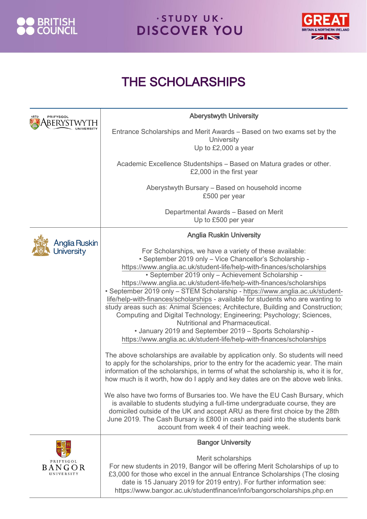



#### THE SCHOLARSHIPS

| PRIFYSGOL                         | <b>Aberystwyth University</b>                                                                                                                                                                                                                                                                                                                                                                                                                                                                                                                                                                                                                                                                                                                                                                                                                                                                                                                                                                                                                                                                                                                                                                                                                                                                                                                                                                                                                                                                                                                                  |
|-----------------------------------|----------------------------------------------------------------------------------------------------------------------------------------------------------------------------------------------------------------------------------------------------------------------------------------------------------------------------------------------------------------------------------------------------------------------------------------------------------------------------------------------------------------------------------------------------------------------------------------------------------------------------------------------------------------------------------------------------------------------------------------------------------------------------------------------------------------------------------------------------------------------------------------------------------------------------------------------------------------------------------------------------------------------------------------------------------------------------------------------------------------------------------------------------------------------------------------------------------------------------------------------------------------------------------------------------------------------------------------------------------------------------------------------------------------------------------------------------------------------------------------------------------------------------------------------------------------|
|                                   | Entrance Scholarships and Merit Awards – Based on two exams set by the<br><b>University</b><br>Up to £2,000 a year                                                                                                                                                                                                                                                                                                                                                                                                                                                                                                                                                                                                                                                                                                                                                                                                                                                                                                                                                                                                                                                                                                                                                                                                                                                                                                                                                                                                                                             |
|                                   | Academic Excellence Studentships - Based on Matura grades or other.<br>£2,000 in the first year                                                                                                                                                                                                                                                                                                                                                                                                                                                                                                                                                                                                                                                                                                                                                                                                                                                                                                                                                                                                                                                                                                                                                                                                                                                                                                                                                                                                                                                                |
|                                   | Aberystwyth Bursary - Based on household income<br>£500 per year                                                                                                                                                                                                                                                                                                                                                                                                                                                                                                                                                                                                                                                                                                                                                                                                                                                                                                                                                                                                                                                                                                                                                                                                                                                                                                                                                                                                                                                                                               |
|                                   | Departmental Awards - Based on Merit<br>Up to £500 per year                                                                                                                                                                                                                                                                                                                                                                                                                                                                                                                                                                                                                                                                                                                                                                                                                                                                                                                                                                                                                                                                                                                                                                                                                                                                                                                                                                                                                                                                                                    |
| Anglia Ruskin                     | <b>Anglia Ruskin University</b>                                                                                                                                                                                                                                                                                                                                                                                                                                                                                                                                                                                                                                                                                                                                                                                                                                                                                                                                                                                                                                                                                                                                                                                                                                                                                                                                                                                                                                                                                                                                |
| <b>Jniversity</b>                 | For Scholarships, we have a variety of these available:<br>• September 2019 only - Vice Chancellor's Scholarship -<br>https://www.anglia.ac.uk/student-life/help-with-finances/scholarships<br>• September 2019 only - Achievement Scholarship -<br>https://www.anglia.ac.uk/student-life/help-with-finances/scholarships<br>• September 2019 only - STEM Scholarship - https://www.anglia.ac.uk/student-<br>life/help-with-finances/scholarships - available for students who are wanting to<br>study areas such as: Animal Sciences; Architecture, Building and Construction;<br>Computing and Digital Technology; Engineering; Psychology; Sciences,<br>Nutritional and Pharmaceutical.<br>• January 2019 and September 2019 - Sports Scholarship -<br>https://www.anglia.ac.uk/student-life/help-with-finances/scholarships<br>The above scholarships are available by application only. So students will need<br>to apply for the scholarships, prior to the entry for the academic year. The main<br>information of the scholarships, in terms of what the scholarship is, who it is for,<br>how much is it worth, how do I apply and key dates are on the above web links.<br>We also have two forms of Bursaries too. We have the EU Cash Bursary, which<br>is available to students studying a full-time undergraduate course, they are<br>domiciled outside of the UK and accept ARU as there first choice by the 28th<br>June 2019. The Cash Bursary is £800 in cash and paid into the students bank<br>account from week 4 of their teaching week. |
| PRIFYSGOL<br>BANGOR<br>UNIVERSITY | <b>Bangor University</b><br>Merit scholarships<br>For new students in 2019, Bangor will be offering Merit Scholarships of up to<br>£3,000 for those who excel in the annual Entrance Scholarships (The closing<br>date is 15 January 2019 for 2019 entry). For further information see:<br>https://www.bangor.ac.uk/studentfinance/info/bangorscholarships.php.en                                                                                                                                                                                                                                                                                                                                                                                                                                                                                                                                                                                                                                                                                                                                                                                                                                                                                                                                                                                                                                                                                                                                                                                              |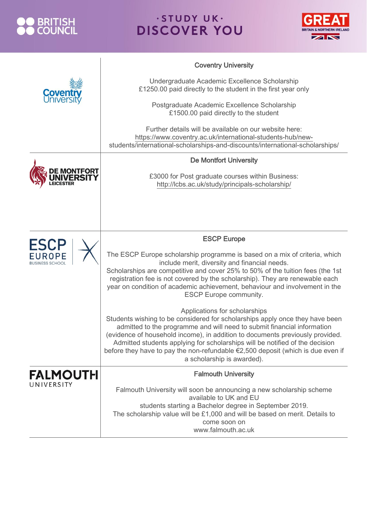



|                                                 | <b>Coventry University</b>                                                                                                                                                                                                                                                                                                                                                                                                                                                 |
|-------------------------------------------------|----------------------------------------------------------------------------------------------------------------------------------------------------------------------------------------------------------------------------------------------------------------------------------------------------------------------------------------------------------------------------------------------------------------------------------------------------------------------------|
|                                                 | Undergraduate Academic Excellence Scholarship<br>£1250.00 paid directly to the student in the first year only                                                                                                                                                                                                                                                                                                                                                              |
|                                                 | Postgraduate Academic Excellence Scholarship<br>£1500.00 paid directly to the student                                                                                                                                                                                                                                                                                                                                                                                      |
|                                                 | Further details will be available on our website here:<br>https://www.coventry.ac.uk/international-students-hub/new-<br>students/international-scholarships-and-discounts/international-scholarships/                                                                                                                                                                                                                                                                      |
|                                                 | <b>De Montfort University</b>                                                                                                                                                                                                                                                                                                                                                                                                                                              |
|                                                 | £3000 for Post graduate courses within Business:<br>http://lcbs.ac.uk/study/principals-scholarship/                                                                                                                                                                                                                                                                                                                                                                        |
|                                                 |                                                                                                                                                                                                                                                                                                                                                                                                                                                                            |
|                                                 |                                                                                                                                                                                                                                                                                                                                                                                                                                                                            |
|                                                 | <b>ESCP Europe</b>                                                                                                                                                                                                                                                                                                                                                                                                                                                         |
| <b>ESCP</b><br>EUROPE<br><b>BUSINESS SCHOOL</b> | The ESCP Europe scholarship programme is based on a mix of criteria, which<br>include merit, diversity and financial needs.<br>Scholarships are competitive and cover 25% to 50% of the tuition fees (the 1st<br>registration fee is not covered by the scholarship). They are renewable each<br>year on condition of academic achievement, behaviour and involvement in the<br><b>ESCP Europe community.</b>                                                              |
|                                                 | Applications for scholarships<br>Students wishing to be considered for scholarships apply once they have been<br>admitted to the programme and will need to submit financial information<br>(evidence of household income), in addition to documents previously provided.<br>Admitted students applying for scholarships will be notified of the decision<br>before they have to pay the non-refundable €2,500 deposit (which is due even if<br>a scholarship is awarded). |
| <b>FALMOUTH</b>                                 | <b>Falmouth University</b>                                                                                                                                                                                                                                                                                                                                                                                                                                                 |
| UNIVERSITY                                      | Falmouth University will soon be announcing a new scholarship scheme<br>available to UK and EU<br>students starting a Bachelor degree in September 2019.<br>The scholarship value will be £1,000 and will be based on merit. Details to<br>come soon on<br>www.falmouth.ac.uk                                                                                                                                                                                              |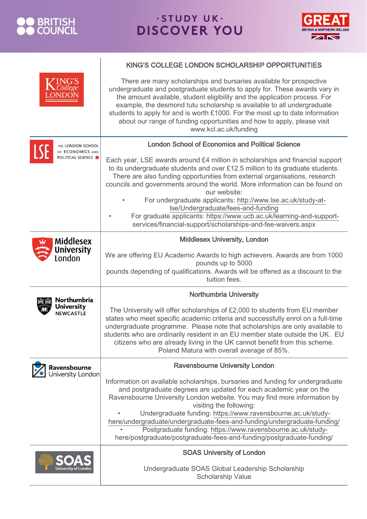

 $\begin{array}{c} \hline \end{array}$ 



|                                                      | KING'S COLLEGE LONDON SCHOLARSHIP OPPORTUNITIES                                                                                                                                                                                                                                                                                                                                                                                                                                                                                                 |
|------------------------------------------------------|-------------------------------------------------------------------------------------------------------------------------------------------------------------------------------------------------------------------------------------------------------------------------------------------------------------------------------------------------------------------------------------------------------------------------------------------------------------------------------------------------------------------------------------------------|
| <b>College</b>                                       | There are many scholarships and bursaries available for prospective<br>undergraduate and postgraduate students to apply for. These awards vary in<br>the amount available, student eligibility and the application process. For<br>example, the desmond tutu scholarship is available to all undergraduate<br>students to apply for and is worth £1000. For the most up to date information<br>about our range of funding opportunities and how to apply, please visit<br>www.kcl.ac.uk/funding                                                 |
| THE LONDON SCHOOL                                    | <b>London School of Economics and Political Science</b>                                                                                                                                                                                                                                                                                                                                                                                                                                                                                         |
| OF ECONOMICS AND<br>POLITICAL SCIENCE                | Each year, LSE awards around £4 million in scholarships and financial support<br>to its undergraduate students and over £12.5 million to its graduate students.<br>There are also funding opportunities from external organisations, research<br>councils and governments around the world. More information can be found on<br>our website:                                                                                                                                                                                                    |
|                                                      | For undergraduate applicants: http://www.lse.ac.uk/study-at-<br>Ise/Undergraduate/fees-and-funding                                                                                                                                                                                                                                                                                                                                                                                                                                              |
|                                                      | For graduate applicants: https://www.ucb.ac.uk/learning-and-support-<br>services/financial-support/scholarships-and-fee-waivers.aspx                                                                                                                                                                                                                                                                                                                                                                                                            |
| <b>Middlesex</b>                                     | <b>Middlesex University, London</b>                                                                                                                                                                                                                                                                                                                                                                                                                                                                                                             |
| University<br>London                                 | We are offering EU Academic Awards to high achievers. Awards are from 1000<br>pounds up to 5000<br>pounds depending of qualifications. Awards will be offered as a discount to the<br>tuition fees.                                                                                                                                                                                                                                                                                                                                             |
|                                                      |                                                                                                                                                                                                                                                                                                                                                                                                                                                                                                                                                 |
| Northumbria<br><b>University</b><br><b>NEWCASTLE</b> | <b>Northumbria University</b><br>The University will offer scholarships of £2,000 to students from EU member<br>states who meet specific academic criteria and successfully enrol on a full-time<br>undergraduate programme. Please note that scholarships are only available to<br>students who are ordinarily resident in an EU member state outside the UK. EU<br>citizens who are already living in the UK cannot benefit from this scheme.<br>Poland Matura with overall average of 85%.                                                   |
| Ravensbourne                                         | <b>Ravensbourne University London</b>                                                                                                                                                                                                                                                                                                                                                                                                                                                                                                           |
| University London                                    | Information on available scholarships, bursaries and funding for undergraduate<br>and postgraduate degrees are updated for each academic year on the<br>Ravensbourne University London website. You may find more information by<br>visiting the following:<br>Undergraduate funding: https://www.ravensbourne.ac.uk/study-<br>here/undergraduate/undergraduate-fees-and-funding/undergraduate-funding/<br>Postgraduate funding: https://www.ravensbourne.ac.uk/study-<br>here/postgraduate/postgraduate-fees-and-funding/postgraduate-funding/ |
|                                                      | <b>SOAS University of London</b>                                                                                                                                                                                                                                                                                                                                                                                                                                                                                                                |
|                                                      | Undergraduate SOAS Global Leadership Scholarship<br><b>Scholarship Value</b>                                                                                                                                                                                                                                                                                                                                                                                                                                                                    |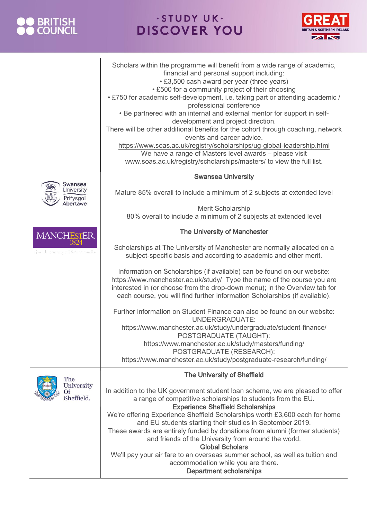



|                                                       | Scholars within the programme will benefit from a wide range of academic,<br>financial and personal support including:<br>• £3,500 cash award per year (three years)<br>• £500 for a community project of their choosing<br>. £750 for academic self-development, i.e. taking part or attending academic /<br>professional conference<br>. Be partnered with an internal and external mentor for support in self-<br>development and project direction.<br>There will be other additional benefits for the cohort through coaching, network<br>events and career advice.<br>https://www.soas.ac.uk/registry/scholarships/ug-global-leadership.html<br>We have a range of Masters level awards - please visit<br>www.soas.ac.uk/registry/scholarships/masters/ to view the full list. |
|-------------------------------------------------------|--------------------------------------------------------------------------------------------------------------------------------------------------------------------------------------------------------------------------------------------------------------------------------------------------------------------------------------------------------------------------------------------------------------------------------------------------------------------------------------------------------------------------------------------------------------------------------------------------------------------------------------------------------------------------------------------------------------------------------------------------------------------------------------|
| Swansea<br><b>University</b><br>Prifysgol<br>Abertawe | <b>Swansea University</b><br>Mature 85% overall to include a minimum of 2 subjects at extended level                                                                                                                                                                                                                                                                                                                                                                                                                                                                                                                                                                                                                                                                                 |
|                                                       | Merit Scholarship<br>80% overall to include a minimum of 2 subjects at extended level                                                                                                                                                                                                                                                                                                                                                                                                                                                                                                                                                                                                                                                                                                |
| <b>MANCHESTER</b>                                     | <b>The University of Manchester</b>                                                                                                                                                                                                                                                                                                                                                                                                                                                                                                                                                                                                                                                                                                                                                  |
| 1824                                                  | Scholarships at The University of Manchester are normally allocated on a<br>subject-specific basis and according to academic and other merit.                                                                                                                                                                                                                                                                                                                                                                                                                                                                                                                                                                                                                                        |
|                                                       | Information on Scholarships (if available) can be found on our website:<br>https://www.manchester.ac.uk/study/ Type the name of the course you are<br>interested in (or choose from the drop-down menu); in the Overview tab for<br>each course, you will find further information Scholarships (if available).                                                                                                                                                                                                                                                                                                                                                                                                                                                                      |
|                                                       | Further information on Student Finance can also be found on our website:<br><b>UNDERGRADUATE:</b><br>https://www.manchester.ac.uk/study/undergraduate/student-finance/<br>POSTGRADUATE (TAUGHT):<br>https://www.manchester.ac.uk/study/masters/funding/<br>POSTGRADUATE (RESEARCH):<br>https://www.manchester.ac.uk/study/postgraduate-research/funding/                                                                                                                                                                                                                                                                                                                                                                                                                             |
| The                                                   | <b>The University of Sheffield</b>                                                                                                                                                                                                                                                                                                                                                                                                                                                                                                                                                                                                                                                                                                                                                   |
| University<br>Of<br>Sheffield.                        | In addition to the UK government student loan scheme, we are pleased to offer<br>a range of competitive scholarships to students from the EU.<br><b>Experience Sheffield Scholarships</b><br>We're offering Experience Sheffield Scholarships worth £3,600 each for home<br>and EU students starting their studies in September 2019.<br>These awards are entirely funded by donations from alumni (former students)<br>and friends of the University from around the world.<br><b>Global Scholars</b><br>We'll pay your air fare to an overseas summer school, as well as tuition and<br>accommodation while you are there.<br><b>Department scholarships</b>                                                                                                                       |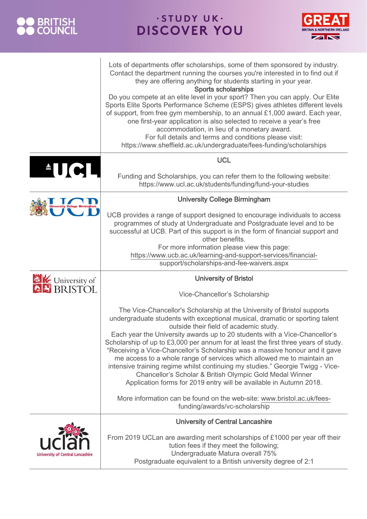



|                                         | Lots of departments offer scholarships, some of them sponsored by industry.<br>Contact the department running the courses you're interested in to find out if<br>they are offering anything for students starting in your year.<br><b>Sports scholarships</b><br>Do you compete at an elite level in your sport? Then you can apply. Our Elite<br>Sports Elite Sports Performance Scheme (ESPS) gives athletes different levels<br>of support, from free gym membership, to an annual $£1,000$ award. Each year,<br>one first-year application is also selected to receive a year's free<br>accommodation, in lieu of a monetary award.<br>For full details and terms and conditions please visit:<br>https://www.sheffield.ac.uk/undergraduate/fees-funding/scholarships |
|-----------------------------------------|---------------------------------------------------------------------------------------------------------------------------------------------------------------------------------------------------------------------------------------------------------------------------------------------------------------------------------------------------------------------------------------------------------------------------------------------------------------------------------------------------------------------------------------------------------------------------------------------------------------------------------------------------------------------------------------------------------------------------------------------------------------------------|
| $\blacksquare$                          | <b>UCL</b>                                                                                                                                                                                                                                                                                                                                                                                                                                                                                                                                                                                                                                                                                                                                                                |
|                                         | Funding and Scholarships, you can refer them to the following website:<br>https://www.ucl.ac.uk/students/funding/fund-your-studies                                                                                                                                                                                                                                                                                                                                                                                                                                                                                                                                                                                                                                        |
| <b>Jniversity College Birmingham</b>    | <b>University College Birmingham</b>                                                                                                                                                                                                                                                                                                                                                                                                                                                                                                                                                                                                                                                                                                                                      |
|                                         | UCB provides a range of support designed to encourage individuals to access<br>programmes of study at Undergraduate and Postgraduate level and to be<br>successful at UCB. Part of this support is in the form of financial support and<br>other benefits.<br>For more information please view this page:<br>https://www.ucb.ac.uk/learning-and-support-services/financial-<br>support/scholarships-and-fee-waivers.aspx                                                                                                                                                                                                                                                                                                                                                  |
| <b>EXAM</b><br><b>BRISTOL</b>           | <b>University of Bristol</b>                                                                                                                                                                                                                                                                                                                                                                                                                                                                                                                                                                                                                                                                                                                                              |
|                                         | Vice-Chancellor's Scholarship                                                                                                                                                                                                                                                                                                                                                                                                                                                                                                                                                                                                                                                                                                                                             |
|                                         | The Vice-Chancellor's Scholarship at the University of Bristol supports<br>undergraduate students with exceptional musical, dramatic or sporting talent<br>outside their field of academic study.<br>Each year the University awards up to 20 students with a Vice-Chancellor's<br>Scholarship of up to £3,000 per annum for at least the first three years of study.<br>"Receiving a Vice-Chancellor's Scholarship was a massive honour and it gave<br>me access to a whole range of services which allowed me to maintain an<br>intensive training regime whilst continuing my studies." Georgie Twigg - Vice-<br>Chancellor's Scholar & British Olympic Gold Medal Winner<br>Application forms for 2019 entry will be available in Autumn 2018.                        |
|                                         | More information can be found on the web-site: www.bristol.ac.uk/fees-<br>funding/awards/vc-scholarship                                                                                                                                                                                                                                                                                                                                                                                                                                                                                                                                                                                                                                                                   |
|                                         | <b>University of Central Lancashire</b>                                                                                                                                                                                                                                                                                                                                                                                                                                                                                                                                                                                                                                                                                                                                   |
| <b>University of Central Lancashire</b> | From 2019 UCLan are awarding merit scholarships of £1000 per year off their<br>tution fees if they meet the following;<br>Undergraduate Matura overall 75%<br>Postgraduate equivalent to a British university degree of 2:1                                                                                                                                                                                                                                                                                                                                                                                                                                                                                                                                               |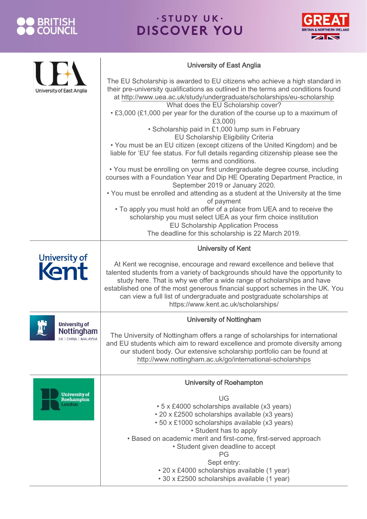#### O BRITISH<br>O COUNCIL



|                                       | <b>University of East Anglia</b>                                                                                                                                                                                                                                                                                                                                                                                                      |
|---------------------------------------|---------------------------------------------------------------------------------------------------------------------------------------------------------------------------------------------------------------------------------------------------------------------------------------------------------------------------------------------------------------------------------------------------------------------------------------|
| <b>University of East Anglia</b>      | The EU Scholarship is awarded to EU citizens who achieve a high standard in<br>their pre-university qualifications as outlined in the terms and conditions found<br>at http://www.uea.ac.uk/study/undergraduate/scholarships/eu-scholarship<br>What does the EU Scholarship cover?                                                                                                                                                    |
|                                       | • £3,000 (£1,000 per year for the duration of the course up to a maximum of<br>£3,000)                                                                                                                                                                                                                                                                                                                                                |
|                                       | • Scholarship paid in £1,000 lump sum in February<br>EU Scholarship Eligibility Criteria<br>• You must be an EU citizen (except citizens of the United Kingdom) and be<br>liable for 'EU' fee status. For full details regarding citizenship please see the                                                                                                                                                                           |
|                                       | terms and conditions.<br>• You must be enrolling on your first undergraduate degree course, including<br>courses with a Foundation Year and Dip HE Operating Department Practice, in<br>September 2019 or January 2020.                                                                                                                                                                                                               |
|                                       | . You must be enrolled and attending as a student at the University at the time<br>of payment                                                                                                                                                                                                                                                                                                                                         |
|                                       | • To apply you must hold an offer of a place from UEA and to receive the<br>scholarship you must select UEA as your firm choice institution<br><b>EU Scholarship Application Process</b><br>The deadline for this scholarship is 22 March 2019.                                                                                                                                                                                       |
|                                       | <b>University of Kent</b>                                                                                                                                                                                                                                                                                                                                                                                                             |
| University of                         | At Kent we recognise, encourage and reward excellence and believe that<br>talented students from a variety of backgrounds should have the opportunity to<br>study here. That is why we offer a wide range of scholarships and have<br>established one of the most generous financial support schemes in the UK. You<br>can view a full list of undergraduate and postgraduate scholarships at<br>https://www.kent.ac.uk/scholarships/ |
| <b>University of</b>                  | <b>University of Nottingham</b>                                                                                                                                                                                                                                                                                                                                                                                                       |
| Nottingham<br>UK   CHINA   MALAYSIA   | The University of Nottingham offers a range of scholarships for international<br>and EU students which aim to reward excellence and promote diversity among<br>our student body. Our extensive scholarship portfolio can be found at<br>http://www.nottingham.ac.uk/go/international-scholarships                                                                                                                                     |
|                                       | <b>University of Roehampton</b>                                                                                                                                                                                                                                                                                                                                                                                                       |
| University of<br>Roehampton<br>London | UG<br>• 5 x £4000 scholarships available (x3 years)<br>• 20 x £2500 scholarships available (x3 years)<br>• 50 x £1000 scholarships available (x3 years)<br>• Student has to apply<br>• Based on academic merit and first-come, first-served approach<br>· Student given deadline to accept<br>PG<br>Sept entry:                                                                                                                       |
|                                       | • 20 x £4000 scholarships available (1 year)<br>• 30 x £2500 scholarships available (1 year)                                                                                                                                                                                                                                                                                                                                          |